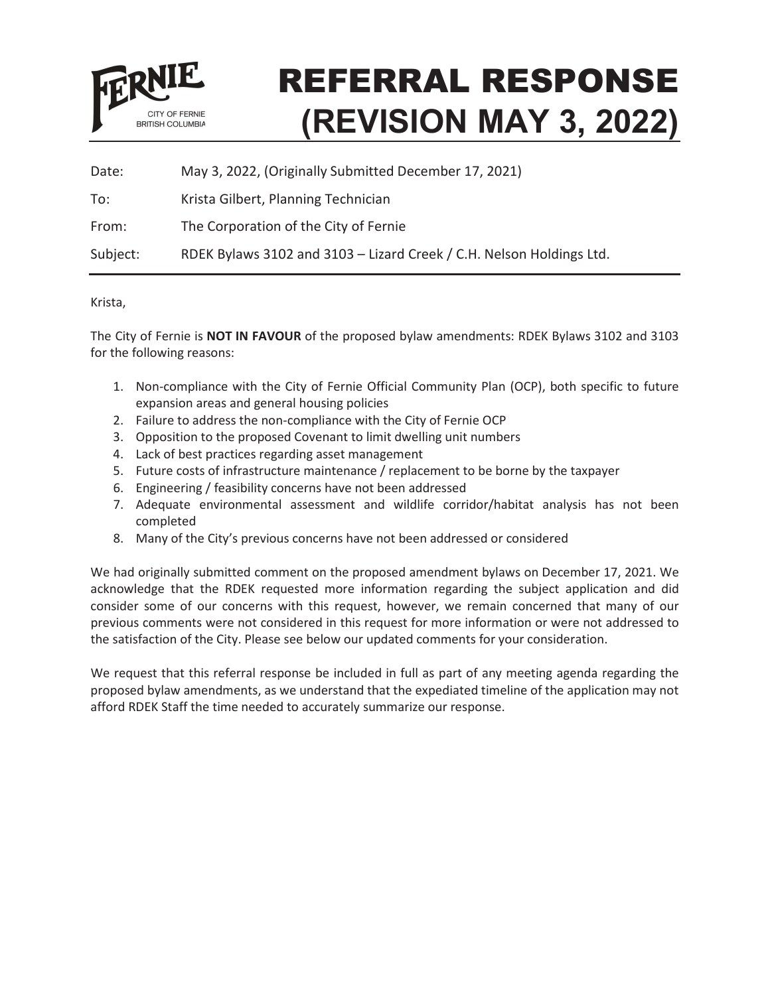

# REFERRAL RESPONSE **(REVISION MAY 3, 2022)**

| Date:    | May 3, 2022, (Originally Submitted December 17, 2021)                |
|----------|----------------------------------------------------------------------|
| To:      | Krista Gilbert, Planning Technician                                  |
| From:    | The Corporation of the City of Fernie                                |
| Subject: | RDEK Bylaws 3102 and 3103 - Lizard Creek / C.H. Nelson Holdings Ltd. |

## Krista,

The City of Fernie is **NOT IN FAVOUR** of the proposed bylaw amendments: RDEK Bylaws 3102 and 3103 for the following reasons:

- 1. Non-compliance with the City of Fernie Official Community Plan (OCP), both specific to future expansion areas and general housing policies
- 2. Failure to address the non-compliance with the City of Fernie OCP
- 3. Opposition to the proposed Covenant to limit dwelling unit numbers
- 4. Lack of best practices regarding asset management
- 5. Future costs of infrastructure maintenance / replacement to be borne by the taxpayer
- 6. Engineering / feasibility concerns have not been addressed
- 7. Adequate environmental assessment and wildlife corridor/habitat analysis has not been completed
- 8. Many of the City's previous concerns have not been addressed or considered

We had originally submitted comment on the proposed amendment bylaws on December 17, 2021. We acknowledge that the RDEK requested more information regarding the subject application and did consider some of our concerns with this request, however, we remain concerned that many of our previous comments were not considered in this request for more information or were not addressed to the satisfaction of the City. Please see below our updated comments for your consideration.

We request that this referral response be included in full as part of any meeting agenda regarding the proposed bylaw amendments, as we understand that the expediated timeline of the application may not afford RDEK Staff the time needed to accurately summarize our response.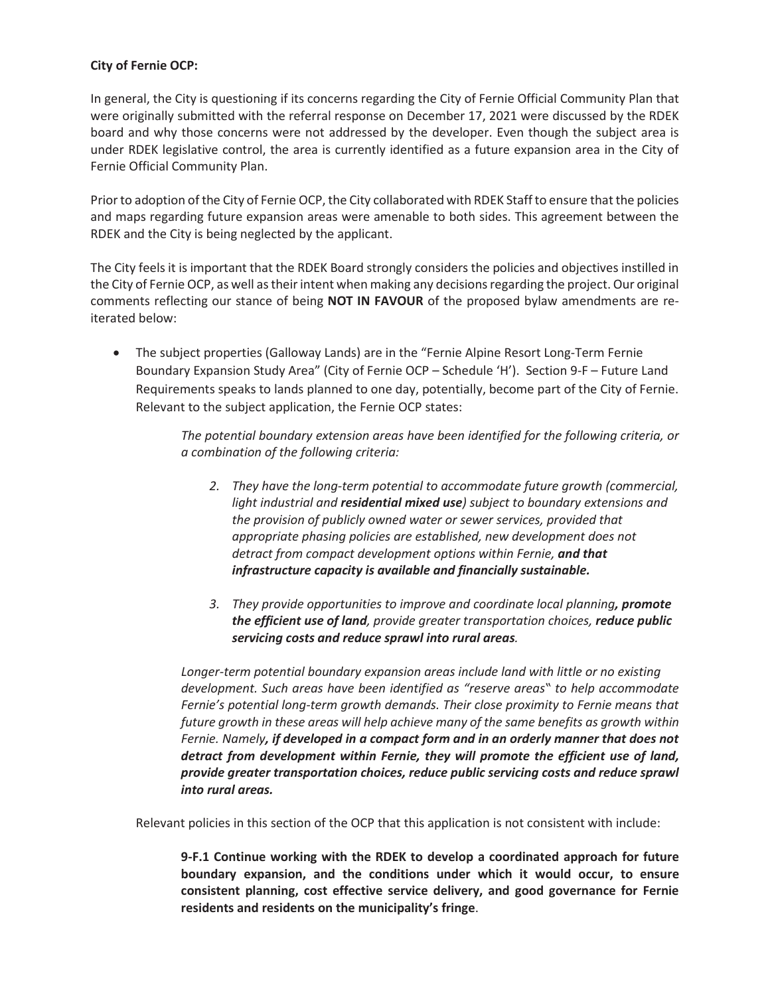## **City of Fernie OCP:**

In general, the City is questioning if its concerns regarding the City of Fernie Official Community Plan that were originally submitted with the referral response on December 17, 2021 were discussed by the RDEK board and why those concerns were not addressed by the developer. Even though the subject area is under RDEK legislative control, the area is currently identified as a future expansion area in the City of Fernie Official Community Plan.

Prior to adoption of the City of Fernie OCP, the City collaborated with RDEK Staff to ensure that the policies and maps regarding future expansion areas were amenable to both sides. This agreement between the RDEK and the City is being neglected by the applicant.

The City feels it is important that the RDEK Board strongly considers the policies and objectives instilled in the City of Fernie OCP, as well as their intent when making any decisions regarding the project. Our original comments reflecting our stance of being **NOT IN FAVOUR** of the proposed bylaw amendments are reiterated below:

• The subject properties (Galloway Lands) are in the "Fernie Alpine Resort Long-Term Fernie Boundary Expansion Study Area" (City of Fernie OCP – Schedule 'H'). Section 9-F – Future Land Requirements speaks to lands planned to one day, potentially, become part of the City of Fernie. Relevant to the subject application, the Fernie OCP states:

> *The potential boundary extension areas have been identified for the following criteria, or a combination of the following criteria:*

- *2. They have the long-term potential to accommodate future growth (commercial, light industrial and residential mixed use) subject to boundary extensions and the provision of publicly owned water or sewer services, provided that appropriate phasing policies are established, new development does not detract from compact development options within Fernie, and that infrastructure capacity is available and financially sustainable.*
- *3. They provide opportunities to improve and coordinate local planning, promote the efficient use of land, provide greater transportation choices, reduce public servicing costs and reduce sprawl into rural areas.*

*Longer-term potential boundary expansion areas include land with little or no existing development. Such areas have been identified as ͞reserve areas to help accommodate Fernie's potential long-term growth demands. Their close proximity to Fernie means that future growth in these areas will help achieve many of the same benefits as growth within Fernie. Namely, if developed in a compact form and in an orderly manner that does not detract from development within Fernie, they will promote the efficient use of land, provide greater transportation choices, reduce public servicing costs and reduce sprawl into rural areas.* 

Relevant policies in this section of the OCP that this application is not consistent with include:

**9-F.1 Continue working with the RDEK to develop a coordinated approach for future boundary expansion, and the conditions under which it would occur, to ensure consistent planning, cost effective service delivery, and good governance for Fernie residents and residents on the municipality's fringe**.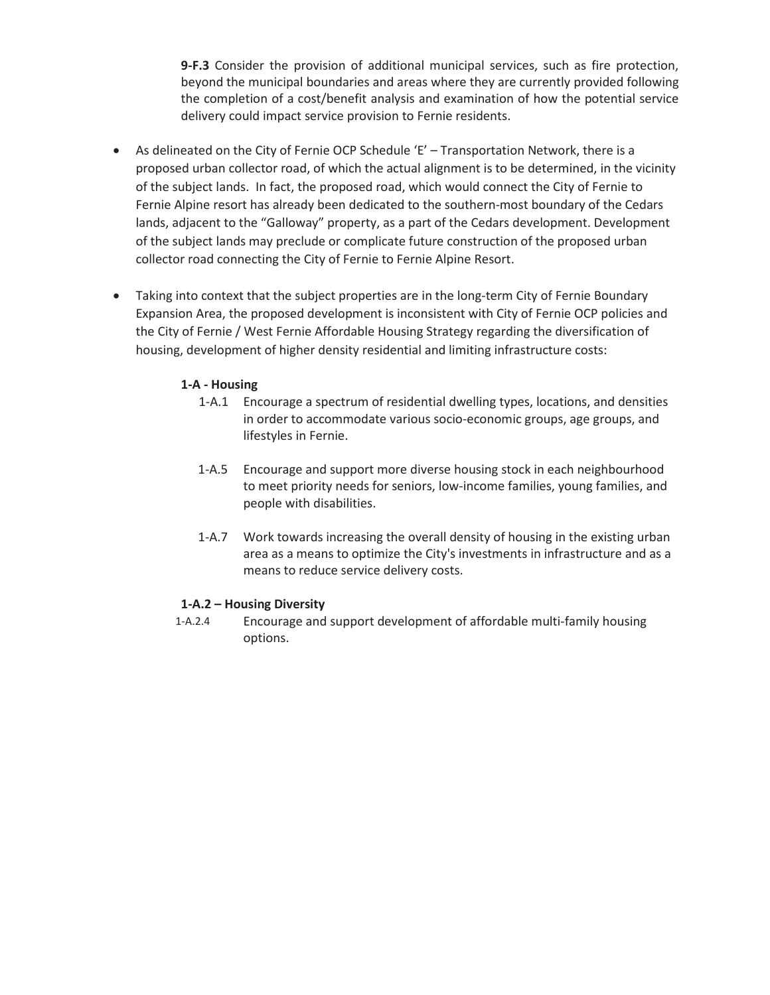**9-F.3** Consider the provision of additional municipal services, such as fire protection, beyond the municipal boundaries and areas where they are currently provided following the completion of a cost/benefit analysis and examination of how the potential service delivery could impact service provision to Fernie residents.

- As delineated on the City of Fernie OCP Schedule 'E' Transportation Network, there is a proposed urban collector road, of which the actual alignment is to be determined, in the vicinity of the subject lands. In fact, the proposed road, which would connect the City of Fernie to Fernie Alpine resort has already been dedicated to the southern-most boundary of the Cedars lands, adjacent to the "Galloway" property, as a part of the Cedars development. Development of the subject lands may preclude or complicate future construction of the proposed urban collector road connecting the City of Fernie to Fernie Alpine Resort.
- Taking into context that the subject properties are in the long-term City of Fernie Boundary Expansion Area, the proposed development is inconsistent with City of Fernie OCP policies and the City of Fernie / West Fernie Affordable Housing Strategy regarding the diversification of housing, development of higher density residential and limiting infrastructure costs:

## **1-A - Housing**

- 1-A.1 Encourage a spectrum of residential dwelling types, locations, and densities in order to accommodate various socio-economic groups, age groups, and lifestyles in Fernie.
- 1-A.5 Encourage and support more diverse housing stock in each neighbourhood to meet priority needs for seniors, low-income families, young families, and people with disabilities.
- 1-A.7 Work towards increasing the overall density of housing in the existing urban area as a means to optimize the City's investments in infrastructure and as a means to reduce service delivery costs.

## **1-A.2 – Housing Diversity**

1-A.2.4 Encourage and support development of affordable multi-family housing options.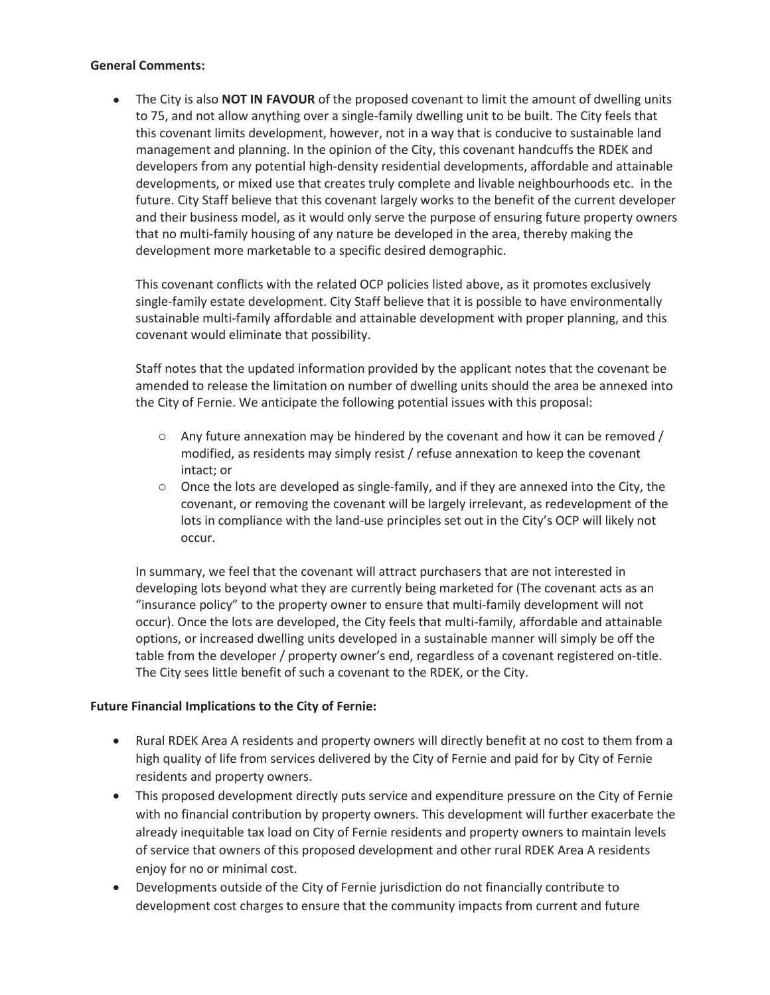## **General Comments:**

• The City is also **NOT IN FAVOUR** of the proposed covenant to limit the amount of dwelling units to 75, and not allow anything over a single-family dwelling unit to be built. The City feels that this covenant limits development, however, not in a way that is conducive to sustainable land management and planning. In the opinion of the City, this covenant handcuffs the RDEK and developers from any potential high-density residential developments, affordable and attainable developments, or mixed use that creates truly complete and livable neighbourhoods etc. in the future. City Staff believe that this covenant largely works to the benefit of the current developer and their business model, as it would only serve the purpose of ensuring future property owners that no multi-family housing of any nature be developed in the area, thereby making the development more marketable to a specific desired demographic.

This covenant conflicts with the related OCP policies listed above, as it promotes exclusively single-family estate development. City Staff believe that it is possible to have environmentally sustainable multi-family affordable and attainable development with proper planning, and this covenant would eliminate that possibility.

Staff notes that the updated information provided by the applicant notes that the covenant be amended to release the limitation on number of dwelling units should the area be annexed into the City of Fernie. We anticipate the following potential issues with this proposal:

- $\circ$  Any future annexation may be hindered by the covenant and how it can be removed / modified, as residents may simply resist / refuse annexation to keep the covenant intact; or
- $\circ$  Once the lots are developed as single-family, and if they are annexed into the City, the covenant, or removing the covenant will be largely irrelevant, as redevelopment of the lots in compliance with the land-use principles set out in the City's OCP will likely not occur.

In summary, we feel that the covenant will attract purchasers that are not interested in developing lots beyond what they are currently being marketed for (The covenant acts as an "insurance policy" to the property owner to ensure that multi-family development will not occur). Once the lots are developed, the City feels that multi-family, affordable and attainable options, or increased dwelling units developed in a sustainable manner will simply be off the table from the developer / property owner's end, regardless of a covenant registered on-title. The City sees little benefit of such a covenant to the RDEK, or the City.

## **Future Financial Implications to the City of Fernie:**

- Rural RDEK Area A residents and property owners will directly benefit at no cost to them from a high quality of life from services delivered by the City of Fernie and paid for by City of Fernie residents and property owners.
- This proposed development directly puts service and expenditure pressure on the City of Fernie with no financial contribution by property owners. This development will further exacerbate the already inequitable tax load on City of Fernie residents and property owners to maintain levels of service that owners of this proposed development and other rural RDEK Area A residents enjoy for no or minimal cost.
- Developments outside of the City of Fernie jurisdiction do not financially contribute to development cost charges to ensure that the community impacts from current and future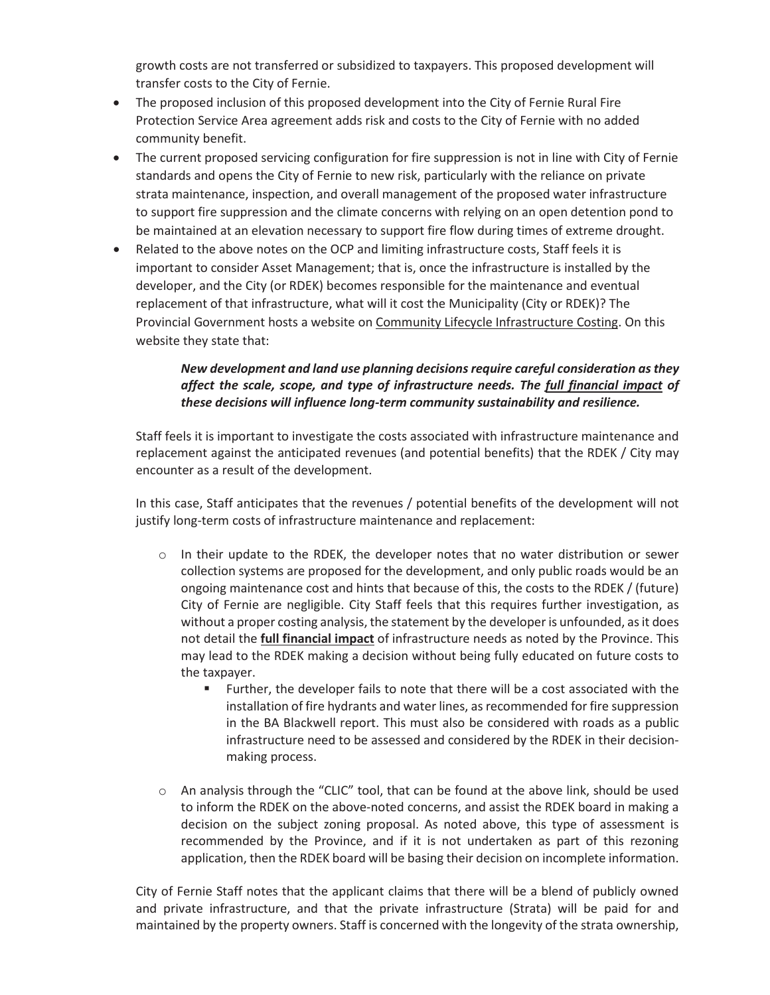growth costs are not transferred or subsidized to taxpayers. This proposed development will transfer costs to the City of Fernie.

- The proposed inclusion of this proposed development into the City of Fernie Rural Fire Protection Service Area agreement adds risk and costs to the City of Fernie with no added community benefit.
- The current proposed servicing configuration for fire suppression is not in line with City of Fernie standards and opens the City of Fernie to new risk, particularly with the reliance on private strata maintenance, inspection, and overall management of the proposed water infrastructure to support fire suppression and the climate concerns with relying on an open detention pond to be maintained at an elevation necessary to support fire flow during times of extreme drought.
- Related to the above notes on the OCP and limiting infrastructure costs, Staff feels it is important to consider Asset Management; that is, once the infrastructure is installed by the developer, and the City (or RDEK) becomes responsible for the maintenance and eventual replacement of that infrastructure, what will it cost the Municipality (City or RDEK)? The Provincial Government hosts a website on Community Lifecycle Infrastructure Costing. On this website they state that:

# *New development and land use planning decisions require careful consideration as they affect the scale, scope, and type of infrastructure needs. The full financial impact of these decisions will influence long-term community sustainability and resilience.*

Staff feels it is important to investigate the costs associated with infrastructure maintenance and replacement against the anticipated revenues (and potential benefits) that the RDEK / City may encounter as a result of the development.

In this case, Staff anticipates that the revenues / potential benefits of the development will not justify long-term costs of infrastructure maintenance and replacement:

- $\circ$  In their update to the RDEK, the developer notes that no water distribution or sewer collection systems are proposed for the development, and only public roads would be an ongoing maintenance cost and hints that because of this, the costs to the RDEK / (future) City of Fernie are negligible. City Staff feels that this requires further investigation, as without a proper costing analysis, the statement by the developer is unfounded, as it does not detail the **full financial impact** of infrastructure needs as noted by the Province. This may lead to the RDEK making a decision without being fully educated on future costs to the taxpayer.
	- Further, the developer fails to note that there will be a cost associated with the installation of fire hydrants and water lines, as recommended for fire suppression in the BA Blackwell report. This must also be considered with roads as a public infrastructure need to be assessed and considered by the RDEK in their decisionmaking process.
- $\circ$  An analysis through the "CLIC" tool, that can be found at the above link, should be used to inform the RDEK on the above-noted concerns, and assist the RDEK board in making a decision on the subject zoning proposal. As noted above, this type of assessment is recommended by the Province, and if it is not undertaken as part of this rezoning application, then the RDEK board will be basing their decision on incomplete information.

City of Fernie Staff notes that the applicant claims that there will be a blend of publicly owned and private infrastructure, and that the private infrastructure (Strata) will be paid for and maintained by the property owners. Staff is concerned with the longevity of the strata ownership,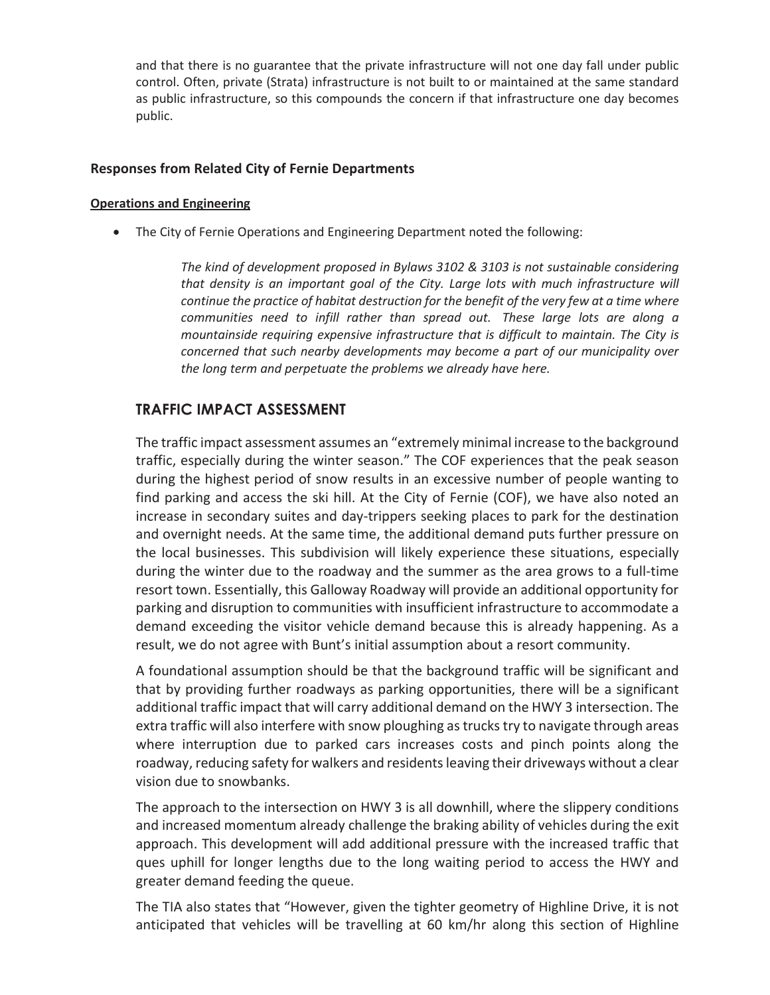and that there is no guarantee that the private infrastructure will not one day fall under public control. Often, private (Strata) infrastructure is not built to or maintained at the same standard as public infrastructure, so this compounds the concern if that infrastructure one day becomes public.

## **Responses from Related City of Fernie Departments**

#### **Operations and Engineering**

• The City of Fernie Operations and Engineering Department noted the following:

*The kind of development proposed in Bylaws 3102 & 3103 is not sustainable considering that density is an important goal of the City. Large lots with much infrastructure will continue the practice of habitat destruction for the benefit of the very few at a time where communities need to infill rather than spread out. These large lots are along a mountainside requiring expensive infrastructure that is difficult to maintain. The City is concerned that such nearby developments may become a part of our municipality over the long term and perpetuate the problems we already have here.* 

# **TRAFFIC IMPACT ASSESSMENT**

The traffic impact assessment assumes an "extremely minimal increase to the background traffic, especially during the winter season." The COF experiences that the peak season during the highest period of snow results in an excessive number of people wanting to find parking and access the ski hill. At the City of Fernie (COF), we have also noted an increase in secondary suites and day-trippers seeking places to park for the destination and overnight needs. At the same time, the additional demand puts further pressure on the local businesses. This subdivision will likely experience these situations, especially during the winter due to the roadway and the summer as the area grows to a full-time resort town. Essentially, this Galloway Roadway will provide an additional opportunity for parking and disruption to communities with insufficient infrastructure to accommodate a demand exceeding the visitor vehicle demand because this is already happening. As a result, we do not agree with Bunt's initial assumption about a resort community.

A foundational assumption should be that the background traffic will be significant and that by providing further roadways as parking opportunities, there will be a significant additional traffic impact that will carry additional demand on the HWY 3 intersection. The extra traffic will also interfere with snow ploughing as trucks try to navigate through areas where interruption due to parked cars increases costs and pinch points along the roadway, reducing safety for walkers and residents leaving their driveways without a clear vision due to snowbanks.

The approach to the intersection on HWY 3 is all downhill, where the slippery conditions and increased momentum already challenge the braking ability of vehicles during the exit approach. This development will add additional pressure with the increased traffic that ques uphill for longer lengths due to the long waiting period to access the HWY and greater demand feeding the queue.

The TIA also states that "However, given the tighter geometry of Highline Drive, it is not anticipated that vehicles will be travelling at 60 km/hr along this section of Highline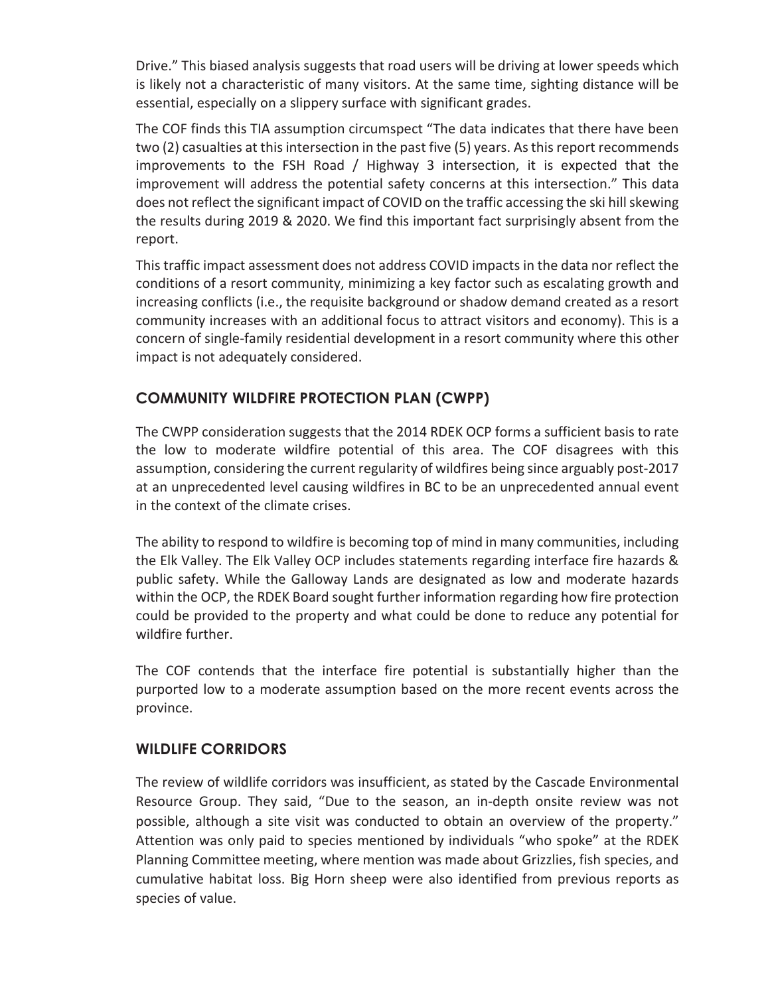Drive." This biased analysis suggests that road users will be driving at lower speeds which is likely not a characteristic of many visitors. At the same time, sighting distance will be essential, especially on a slippery surface with significant grades.

The COF finds this TIA assumption circumspect "The data indicates that there have been two (2) casualties at this intersection in the past five (5) years. As this report recommends improvements to the FSH Road / Highway 3 intersection, it is expected that the improvement will address the potential safety concerns at this intersection." This data does not reflect the significant impact of COVID on the traffic accessing the ski hill skewing the results during 2019 & 2020. We find this important fact surprisingly absent from the report.

This traffic impact assessment does not address COVID impacts in the data nor reflect the conditions of a resort community, minimizing a key factor such as escalating growth and increasing conflicts (i.e., the requisite background or shadow demand created as a resort community increases with an additional focus to attract visitors and economy). This is a concern of single-family residential development in a resort community where this other impact is not adequately considered.

# **COMMUNITY WILDFIRE PROTECTION PLAN (CWPP)**

The CWPP consideration suggests that the 2014 RDEK OCP forms a sufficient basis to rate the low to moderate wildfire potential of this area. The COF disagrees with this assumption, considering the current regularity of wildfires being since arguably post-2017 at an unprecedented level causing wildfires in BC to be an unprecedented annual event in the context of the climate crises.

The ability to respond to wildfire is becoming top of mind in many communities, including the Elk Valley. The Elk Valley OCP includes statements regarding interface fire hazards & public safety. While the Galloway Lands are designated as low and moderate hazards within the OCP, the RDEK Board sought further information regarding how fire protection could be provided to the property and what could be done to reduce any potential for wildfire further.

The COF contends that the interface fire potential is substantially higher than the purported low to a moderate assumption based on the more recent events across the province.

# **WILDLIFE CORRIDORS**

The review of wildlife corridors was insufficient, as stated by the Cascade Environmental Resource Group. They said, "Due to the season, an in-depth onsite review was not possible, although a site visit was conducted to obtain an overview of the property." Attention was only paid to species mentioned by individuals "who spoke" at the RDEK Planning Committee meeting, where mention was made about Grizzlies, fish species, and cumulative habitat loss. Big Horn sheep were also identified from previous reports as species of value.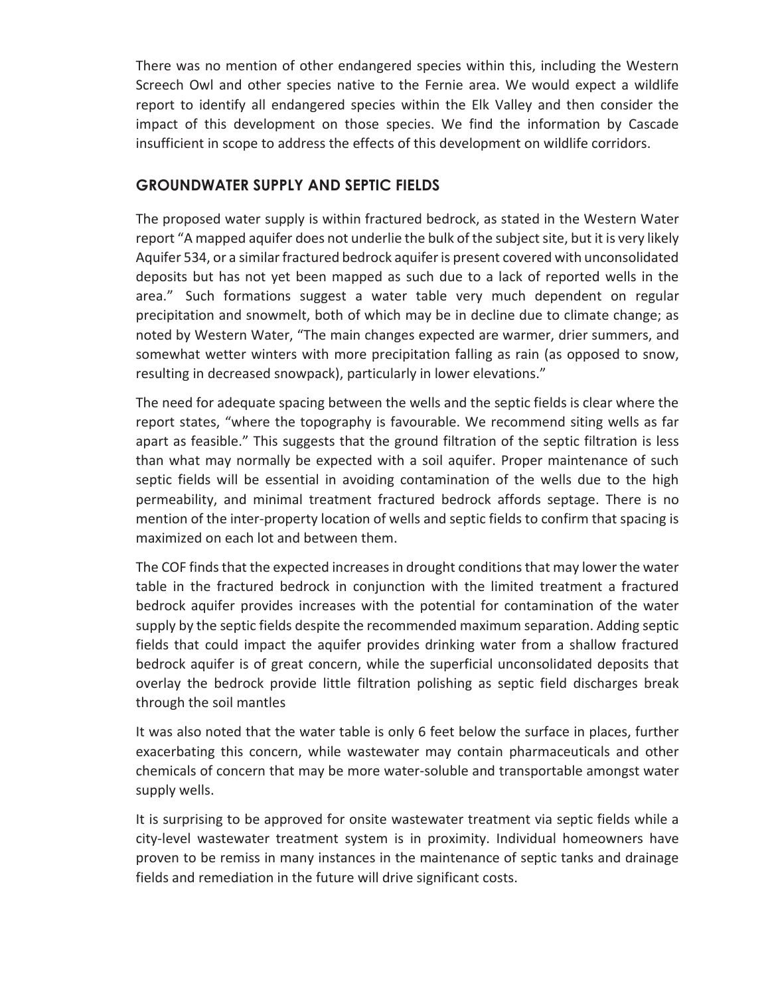There was no mention of other endangered species within this, including the Western Screech Owl and other species native to the Fernie area. We would expect a wildlife report to identify all endangered species within the Elk Valley and then consider the impact of this development on those species. We find the information by Cascade insufficient in scope to address the effects of this development on wildlife corridors.

# **GROUNDWATER SUPPLY AND SEPTIC FIELDS**

The proposed water supply is within fractured bedrock, as stated in the Western Water report "A mapped aquifer does not underlie the bulk of the subject site, but it is very likely Aquifer 534, or a similar fractured bedrock aquifer is present covered with unconsolidated deposits but has not yet been mapped as such due to a lack of reported wells in the area." Such formations suggest a water table very much dependent on regular precipitation and snowmelt, both of which may be in decline due to climate change; as noted by Western Water, "The main changes expected are warmer, drier summers, and somewhat wetter winters with more precipitation falling as rain (as opposed to snow, resulting in decreased snowpack), particularly in lower elevations."

The need for adequate spacing between the wells and the septic fields is clear where the report states, "where the topography is favourable. We recommend siting wells as far apart as feasible." This suggests that the ground filtration of the septic filtration is less than what may normally be expected with a soil aquifer. Proper maintenance of such septic fields will be essential in avoiding contamination of the wells due to the high permeability, and minimal treatment fractured bedrock affords septage. There is no mention of the inter-property location of wells and septic fields to confirm that spacing is maximized on each lot and between them.

The COF finds that the expected increases in drought conditions that may lower the water table in the fractured bedrock in conjunction with the limited treatment a fractured bedrock aquifer provides increases with the potential for contamination of the water supply by the septic fields despite the recommended maximum separation. Adding septic fields that could impact the aquifer provides drinking water from a shallow fractured bedrock aquifer is of great concern, while the superficial unconsolidated deposits that overlay the bedrock provide little filtration polishing as septic field discharges break through the soil mantles

It was also noted that the water table is only 6 feet below the surface in places, further exacerbating this concern, while wastewater may contain pharmaceuticals and other chemicals of concern that may be more water-soluble and transportable amongst water supply wells.

It is surprising to be approved for onsite wastewater treatment via septic fields while a city-level wastewater treatment system is in proximity. Individual homeowners have proven to be remiss in many instances in the maintenance of septic tanks and drainage fields and remediation in the future will drive significant costs.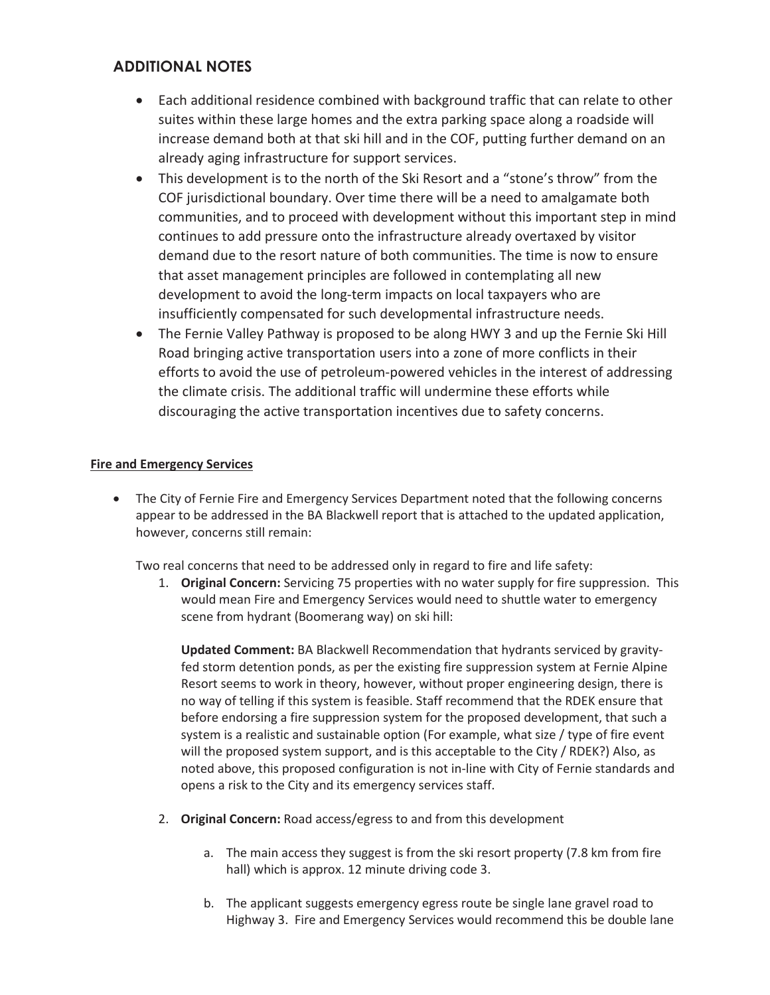# **ADDITIONAL NOTES**

- Each additional residence combined with background traffic that can relate to other suites within these large homes and the extra parking space along a roadside will increase demand both at that ski hill and in the COF, putting further demand on an already aging infrastructure for support services.
- This development is to the north of the Ski Resort and a "stone's throw" from the COF jurisdictional boundary. Over time there will be a need to amalgamate both communities, and to proceed with development without this important step in mind continues to add pressure onto the infrastructure already overtaxed by visitor demand due to the resort nature of both communities. The time is now to ensure that asset management principles are followed in contemplating all new development to avoid the long-term impacts on local taxpayers who are insufficiently compensated for such developmental infrastructure needs.
- The Fernie Valley Pathway is proposed to be along HWY 3 and up the Fernie Ski Hill Road bringing active transportation users into a zone of more conflicts in their efforts to avoid the use of petroleum-powered vehicles in the interest of addressing the climate crisis. The additional traffic will undermine these efforts while discouraging the active transportation incentives due to safety concerns.

## **Fire and Emergency Services**

• The City of Fernie Fire and Emergency Services Department noted that the following concerns appear to be addressed in the BA Blackwell report that is attached to the updated application, however, concerns still remain:

Two real concerns that need to be addressed only in regard to fire and life safety:

1. **Original Concern:** Servicing 75 properties with no water supply for fire suppression. This would mean Fire and Emergency Services would need to shuttle water to emergency scene from hydrant (Boomerang way) on ski hill:

**Updated Comment:** BA Blackwell Recommendation that hydrants serviced by gravityfed storm detention ponds, as per the existing fire suppression system at Fernie Alpine Resort seems to work in theory, however, without proper engineering design, there is no way of telling if this system is feasible. Staff recommend that the RDEK ensure that before endorsing a fire suppression system for the proposed development, that such a system is a realistic and sustainable option (For example, what size / type of fire event will the proposed system support, and is this acceptable to the City / RDEK?) Also, as noted above, this proposed configuration is not in-line with City of Fernie standards and opens a risk to the City and its emergency services staff.

- 2. **Original Concern:** Road access/egress to and from this development
	- a. The main access they suggest is from the ski resort property (7.8 km from fire hall) which is approx. 12 minute driving code 3.
	- b. The applicant suggests emergency egress route be single lane gravel road to Highway 3. Fire and Emergency Services would recommend this be double lane